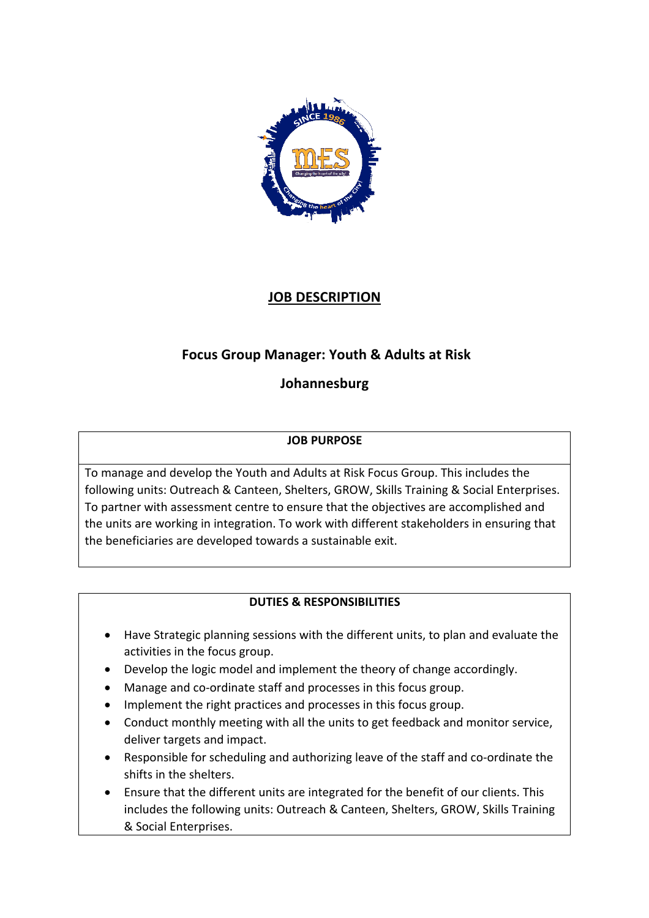

## **JOB DESCRIPTION**

# **Focus Group Manager: Youth & Adults at Risk**

## **Johannesburg**

#### **JOB PURPOSE**

To manage and develop the Youth and Adults at Risk Focus Group. This includes the following units: Outreach & Canteen, Shelters, GROW, Skills Training & Social Enterprises. To partner with assessment centre to ensure that the objectives are accomplished and the units are working in integration. To work with different stakeholders in ensuring that the beneficiaries are developed towards a sustainable exit.

### **DUTIES & RESPONSIBILITIES**

- Have Strategic planning sessions with the different units, to plan and evaluate the activities in the focus group.
- Develop the logic model and implement the theory of change accordingly.
- Manage and co-ordinate staff and processes in this focus group.
- Implement the right practices and processes in this focus group.
- Conduct monthly meeting with all the units to get feedback and monitor service, deliver targets and impact.
- Responsible for scheduling and authorizing leave of the staff and co-ordinate the shifts in the shelters.
- Ensure that the different units are integrated for the benefit of our clients. This includes the following units: Outreach & Canteen, Shelters, GROW, Skills Training & Social Enterprises.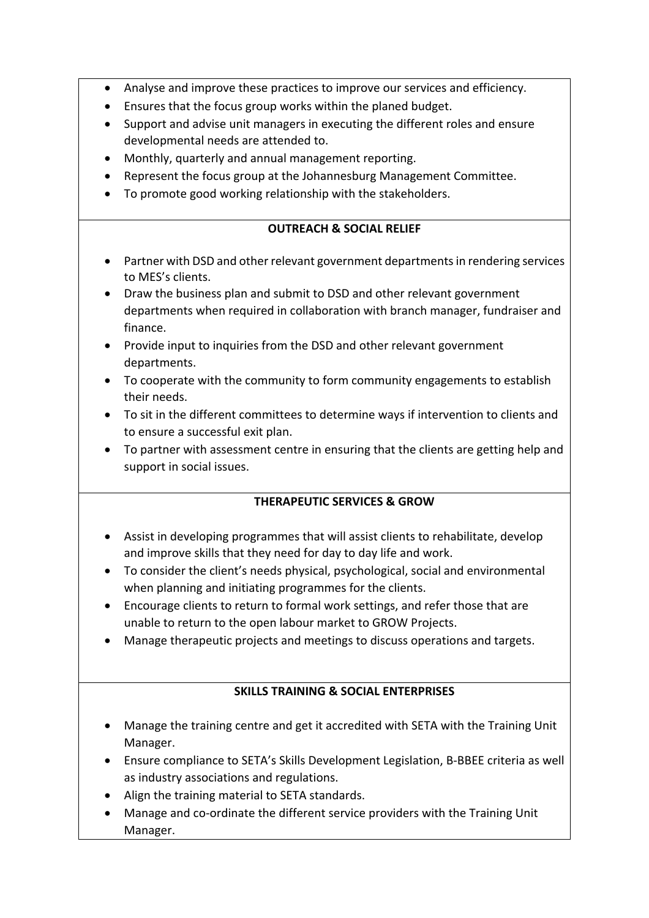- Analyse and improve these practices to improve our services and efficiency.
- Ensures that the focus group works within the planed budget.
- Support and advise unit managers in executing the different roles and ensure developmental needs are attended to.
- Monthly, quarterly and annual management reporting.
- Represent the focus group at the Johannesburg Management Committee.
- To promote good working relationship with the stakeholders.

#### **OUTREACH & SOCIAL RELIEF**

- Partner with DSD and other relevant government departments in rendering services to MES's clients.
- Draw the business plan and submit to DSD and other relevant government departments when required in collaboration with branch manager, fundraiser and finance.
- Provide input to inquiries from the DSD and other relevant government departments.
- To cooperate with the community to form community engagements to establish their needs.
- To sit in the different committees to determine ways if intervention to clients and to ensure a successful exit plan.
- To partner with assessment centre in ensuring that the clients are getting help and support in social issues.

#### **THERAPEUTIC SERVICES & GROW**

- Assist in developing programmes that will assist clients to rehabilitate, develop and improve skills that they need for day to day life and work.
- To consider the client's needs physical, psychological, social and environmental when planning and initiating programmes for the clients.
- Encourage clients to return to formal work settings, and refer those that are unable to return to the open labour market to GROW Projects.
- Manage therapeutic projects and meetings to discuss operations and targets.

#### **SKILLS TRAINING & SOCIAL ENTERPRISES**

- Manage the training centre and get it accredited with SETA with the Training Unit Manager.
- Ensure compliance to SETA's Skills Development Legislation, B-BBEE criteria as well as industry associations and regulations.
- Align the training material to SETA standards.
- Manage and co-ordinate the different service providers with the Training Unit Manager.